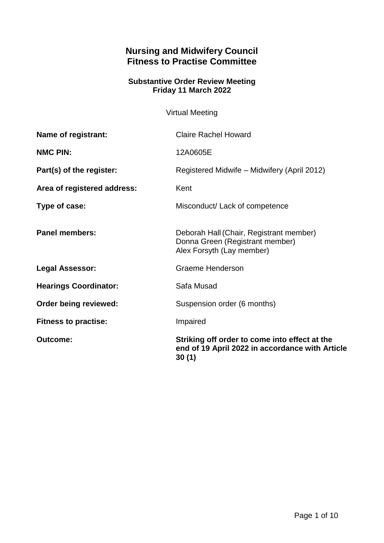# **Nursing and Midwifery Council Fitness to Practise Committee**

## **Substantive Order Review Meeting Friday 11 March 2022**

Virtual Meeting

| <b>Outcome:</b>              | Striking off order to come into effect at the<br>end of 19 April 2022 in accordance with Article<br>30(1) |
|------------------------------|-----------------------------------------------------------------------------------------------------------|
| <b>Fitness to practise:</b>  | Impaired                                                                                                  |
| Order being reviewed:        | Suspension order (6 months)                                                                               |
| <b>Hearings Coordinator:</b> | Safa Musad                                                                                                |
| <b>Legal Assessor:</b>       | Graeme Henderson                                                                                          |
| <b>Panel members:</b>        | Deborah Hall (Chair, Registrant member)<br>Donna Green (Registrant member)<br>Alex Forsyth (Lay member)   |
| Type of case:                | Misconduct/ Lack of competence                                                                            |
| Area of registered address:  | Kent                                                                                                      |
| Part(s) of the register:     | Registered Midwife – Midwifery (April 2012)                                                               |
| <b>NMC PIN:</b>              | 12A0605E                                                                                                  |
| Name of registrant:          | <b>Claire Rachel Howard</b>                                                                               |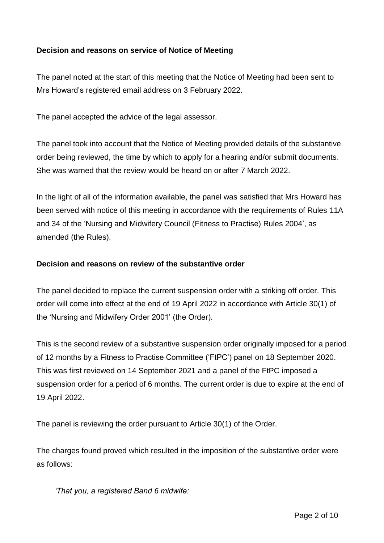## **Decision and reasons on service of Notice of Meeting**

The panel noted at the start of this meeting that the Notice of Meeting had been sent to Mrs Howard's registered email address on 3 February 2022.

The panel accepted the advice of the legal assessor.

The panel took into account that the Notice of Meeting provided details of the substantive order being reviewed, the time by which to apply for a hearing and/or submit documents. She was warned that the review would be heard on or after 7 March 2022.

In the light of all of the information available, the panel was satisfied that Mrs Howard has been served with notice of this meeting in accordance with the requirements of Rules 11A and 34 of the 'Nursing and Midwifery Council (Fitness to Practise) Rules 2004', as amended (the Rules).

### **Decision and reasons on review of the substantive order**

The panel decided to replace the current suspension order with a striking off order. This order will come into effect at the end of 19 April 2022 in accordance with Article 30(1) of the 'Nursing and Midwifery Order 2001' (the Order).

This is the second review of a substantive suspension order originally imposed for a period of 12 months by a Fitness to Practise Committee ('FtPC') panel on 18 September 2020. This was first reviewed on 14 September 2021 and a panel of the FtPC imposed a suspension order for a period of 6 months. The current order is due to expire at the end of 19 April 2022.

The panel is reviewing the order pursuant to Article 30(1) of the Order.

The charges found proved which resulted in the imposition of the substantive order were as follows:

*'That you, a registered Band 6 midwife:*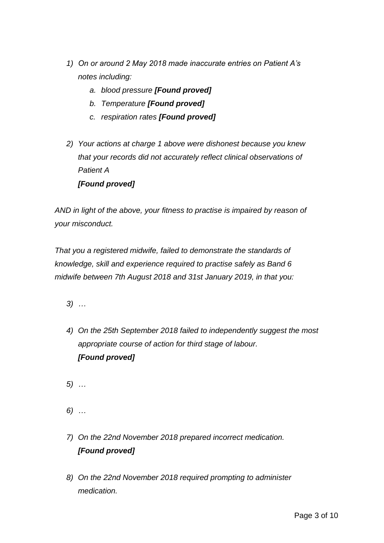- *1) On or around 2 May 2018 made inaccurate entries on Patient A's notes including:*
	- *a. blood pressure [Found proved]*
	- *b. Temperature [Found proved]*
	- *c. respiration rates [Found proved]*
- *2) Your actions at charge 1 above were dishonest because you knew that your records did not accurately reflect clinical observations of Patient A [Found proved]*

*AND in light of the above, your fitness to practise is impaired by reason of your misconduct.*

*That you a registered midwife, failed to demonstrate the standards of knowledge, skill and experience required to practise safely as Band 6 midwife between 7th August 2018 and 31st January 2019, in that you:*

- *3) …*
- *4) On the 25th September 2018 failed to independently suggest the most appropriate course of action for third stage of labour. [Found proved]*

*5) …*

*6) …*

- *7) On the 22nd November 2018 prepared incorrect medication. [Found proved]*
- *8) On the 22nd November 2018 required prompting to administer medication.*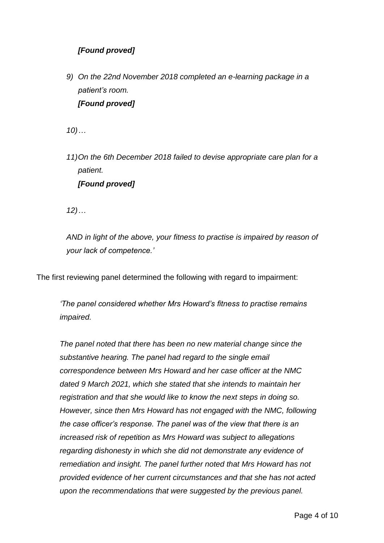# *[Found proved]*

*9) On the 22nd November 2018 completed an e-learning package in a patient's room. [Found proved]*

*10)…*

*11)On the 6th December 2018 failed to devise appropriate care plan for a patient. [Found proved]*

*12)…*

*AND in light of the above, your fitness to practise is impaired by reason of your lack of competence.'* 

The first reviewing panel determined the following with regard to impairment:

*'The panel considered whether Mrs Howard's fitness to practise remains impaired.*

*The panel noted that there has been no new material change since the substantive hearing. The panel had regard to the single email correspondence between Mrs Howard and her case officer at the NMC dated 9 March 2021, which she stated that she intends to maintain her registration and that she would like to know the next steps in doing so. However, since then Mrs Howard has not engaged with the NMC, following the case officer's response. The panel was of the view that there is an increased risk of repetition as Mrs Howard was subject to allegations regarding dishonesty in which she did not demonstrate any evidence of remediation and insight. The panel further noted that Mrs Howard has not provided evidence of her current circumstances and that she has not acted upon the recommendations that were suggested by the previous panel.*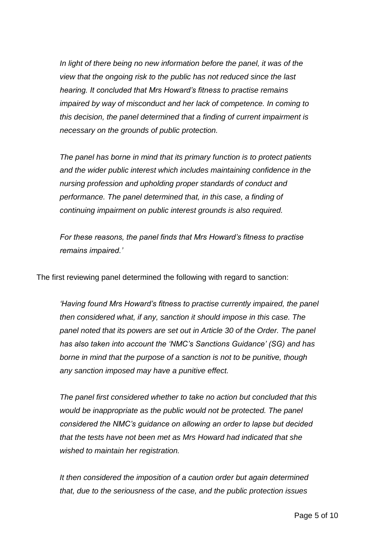In light of there being no new information before the panel, it was of the *view that the ongoing risk to the public has not reduced since the last hearing. It concluded that Mrs Howard's fitness to practise remains impaired by way of misconduct and her lack of competence. In coming to this decision, the panel determined that a finding of current impairment is necessary on the grounds of public protection.*

*The panel has borne in mind that its primary function is to protect patients and the wider public interest which includes maintaining confidence in the nursing profession and upholding proper standards of conduct and performance. The panel determined that, in this case, a finding of continuing impairment on public interest grounds is also required.*

*For these reasons, the panel finds that Mrs Howard's fitness to practise remains impaired.'*

The first reviewing panel determined the following with regard to sanction:

*'Having found Mrs Howard's fitness to practise currently impaired, the panel then considered what, if any, sanction it should impose in this case. The panel noted that its powers are set out in Article 30 of the Order. The panel has also taken into account the 'NMC's Sanctions Guidance' (SG) and has borne in mind that the purpose of a sanction is not to be punitive, though any sanction imposed may have a punitive effect.*

*The panel first considered whether to take no action but concluded that this would be inappropriate as the public would not be protected. The panel considered the NMC's guidance on allowing an order to lapse but decided that the tests have not been met as Mrs Howard had indicated that she wished to maintain her registration.*

*It then considered the imposition of a caution order but again determined that, due to the seriousness of the case, and the public protection issues*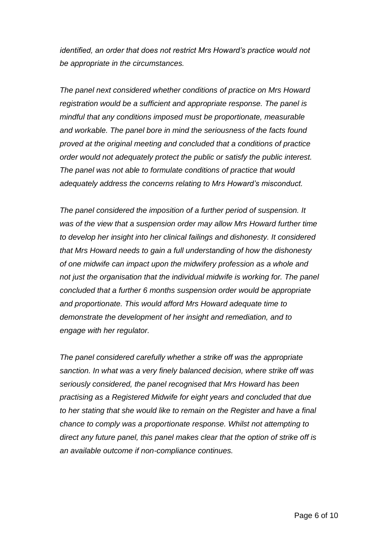*identified, an order that does not restrict Mrs Howard's practice would not be appropriate in the circumstances.*

*The panel next considered whether conditions of practice on Mrs Howard registration would be a sufficient and appropriate response. The panel is mindful that any conditions imposed must be proportionate, measurable and workable. The panel bore in mind the seriousness of the facts found proved at the original meeting and concluded that a conditions of practice order would not adequately protect the public or satisfy the public interest. The panel was not able to formulate conditions of practice that would adequately address the concerns relating to Mrs Howard's misconduct.* 

*The panel considered the imposition of a further period of suspension. It was of the view that a suspension order may allow Mrs Howard further time to develop her insight into her clinical failings and dishonesty. It considered that Mrs Howard needs to gain a full understanding of how the dishonesty of one midwife can impact upon the midwifery profession as a whole and*  not just the organisation that the individual midwife is working for. The panel *concluded that a further 6 months suspension order would be appropriate and proportionate. This would afford Mrs Howard adequate time to demonstrate the development of her insight and remediation, and to engage with her regulator.*

*The panel considered carefully whether a strike off was the appropriate sanction. In what was a very finely balanced decision, where strike off was seriously considered, the panel recognised that Mrs Howard has been practising as a Registered Midwife for eight years and concluded that due to her stating that she would like to remain on the Register and have a final chance to comply was a proportionate response. Whilst not attempting to direct any future panel, this panel makes clear that the option of strike off is an available outcome if non-compliance continues.*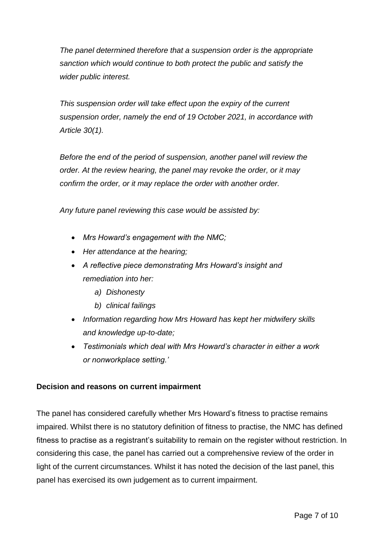*The panel determined therefore that a suspension order is the appropriate sanction which would continue to both protect the public and satisfy the wider public interest.*

*This suspension order will take effect upon the expiry of the current suspension order, namely the end of 19 October 2021, in accordance with Article 30(1).*

*Before the end of the period of suspension, another panel will review the order. At the review hearing, the panel may revoke the order, or it may confirm the order, or it may replace the order with another order.*

*Any future panel reviewing this case would be assisted by:*

- *Mrs Howard's engagement with the NMC;*
- *Her attendance at the hearing;*
- *A reflective piece demonstrating Mrs Howard's insight and remediation into her:*
	- *a) Dishonesty*
	- *b) clinical failings*
- *Information regarding how Mrs Howard has kept her midwifery skills and knowledge up-to-date;*
- *Testimonials which deal with Mrs Howard's character in either a work or nonworkplace setting.'*

### **Decision and reasons on current impairment**

The panel has considered carefully whether Mrs Howard's fitness to practise remains impaired. Whilst there is no statutory definition of fitness to practise, the NMC has defined fitness to practise as a registrant's suitability to remain on the register without restriction. In considering this case, the panel has carried out a comprehensive review of the order in light of the current circumstances. Whilst it has noted the decision of the last panel, this panel has exercised its own judgement as to current impairment.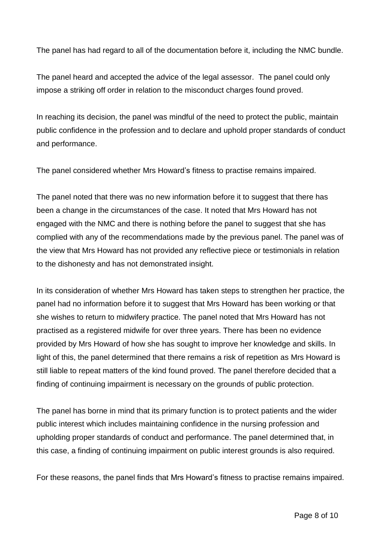The panel has had regard to all of the documentation before it, including the NMC bundle.

The panel heard and accepted the advice of the legal assessor. The panel could only impose a striking off order in relation to the misconduct charges found proved.

In reaching its decision, the panel was mindful of the need to protect the public, maintain public confidence in the profession and to declare and uphold proper standards of conduct and performance.

The panel considered whether Mrs Howard's fitness to practise remains impaired.

The panel noted that there was no new information before it to suggest that there has been a change in the circumstances of the case. It noted that Mrs Howard has not engaged with the NMC and there is nothing before the panel to suggest that she has complied with any of the recommendations made by the previous panel. The panel was of the view that Mrs Howard has not provided any reflective piece or testimonials in relation to the dishonesty and has not demonstrated insight.

In its consideration of whether Mrs Howard has taken steps to strengthen her practice, the panel had no information before it to suggest that Mrs Howard has been working or that she wishes to return to midwifery practice. The panel noted that Mrs Howard has not practised as a registered midwife for over three years. There has been no evidence provided by Mrs Howard of how she has sought to improve her knowledge and skills. In light of this, the panel determined that there remains a risk of repetition as Mrs Howard is still liable to repeat matters of the kind found proved. The panel therefore decided that a finding of continuing impairment is necessary on the grounds of public protection.

The panel has borne in mind that its primary function is to protect patients and the wider public interest which includes maintaining confidence in the nursing profession and upholding proper standards of conduct and performance. The panel determined that, in this case, a finding of continuing impairment on public interest grounds is also required.

For these reasons, the panel finds that Mrs Howard's fitness to practise remains impaired.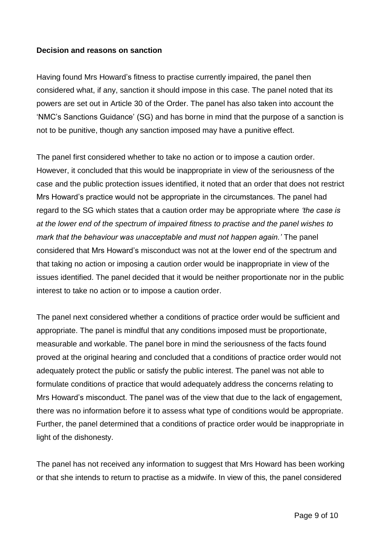### **Decision and reasons on sanction**

Having found Mrs Howard's fitness to practise currently impaired, the panel then considered what, if any, sanction it should impose in this case. The panel noted that its powers are set out in Article 30 of the Order. The panel has also taken into account the 'NMC's Sanctions Guidance' (SG) and has borne in mind that the purpose of a sanction is not to be punitive, though any sanction imposed may have a punitive effect.

The panel first considered whether to take no action or to impose a caution order. However, it concluded that this would be inappropriate in view of the seriousness of the case and the public protection issues identified, it noted that an order that does not restrict Mrs Howard's practice would not be appropriate in the circumstances. The panel had regard to the SG which states that a caution order may be appropriate where *'the case is at the lower end of the spectrum of impaired fitness to practise and the panel wishes to mark that the behaviour was unacceptable and must not happen again.'* The panel considered that Mrs Howard's misconduct was not at the lower end of the spectrum and that taking no action or imposing a caution order would be inappropriate in view of the issues identified. The panel decided that it would be neither proportionate nor in the public interest to take no action or to impose a caution order.

The panel next considered whether a conditions of practice order would be sufficient and appropriate. The panel is mindful that any conditions imposed must be proportionate, measurable and workable. The panel bore in mind the seriousness of the facts found proved at the original hearing and concluded that a conditions of practice order would not adequately protect the public or satisfy the public interest. The panel was not able to formulate conditions of practice that would adequately address the concerns relating to Mrs Howard's misconduct. The panel was of the view that due to the lack of engagement, there was no information before it to assess what type of conditions would be appropriate. Further, the panel determined that a conditions of practice order would be inappropriate in light of the dishonesty.

The panel has not received any information to suggest that Mrs Howard has been working or that she intends to return to practise as a midwife. In view of this, the panel considered